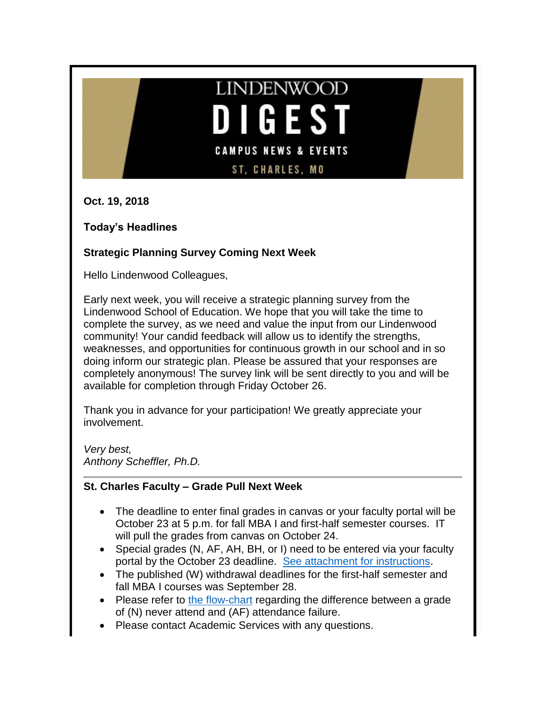# **LINDENWOOD** GE **CAMPUS NEWS & EVENTS ST, CHARLES, MO**

**Oct. 19, 2018**

**Today's Headlines**

# **Strategic Planning Survey Coming Next Week**

Hello Lindenwood Colleagues,

Early next week, you will receive a strategic planning survey from the Lindenwood School of Education. We hope that you will take the time to complete the survey, as we need and value the input from our Lindenwood community! Your candid feedback will allow us to identify the strengths, weaknesses, and opportunities for continuous growth in our school and in so doing inform our strategic plan. Please be assured that your responses are completely anonymous! The survey link will be sent directly to you and will be available for completion through Friday October 26.

Thank you in advance for your participation! We greatly appreciate your involvement.

*Very best, Anthony Scheffler, Ph.D.*

# **St. Charles Faculty – Grade Pull Next Week**

- The deadline to enter final grades in canvas or your faculty portal will be October 23 at 5 p.m. for fall MBA I and first-half semester courses. IT will pull the grades from canvas on October 24.
- Special grades (N, AF, AH, BH, or I) need to be entered via your faculty portal by the October 23 deadline. [See attachment for instructions.](http://felix.lindenwood.edu/newsletter/2018_10/SpecialGradesGuide.pdf)
- The published (W) withdrawal deadlines for the first-half semester and fall MBA I courses was September 28.
- Please refer to [the flow-chart](http://felix.lindenwood.edu/newsletter/2018_10/flowchartgrades.pdf) regarding the difference between a grade of (N) never attend and (AF) attendance failure.
- Please contact Academic Services with any questions.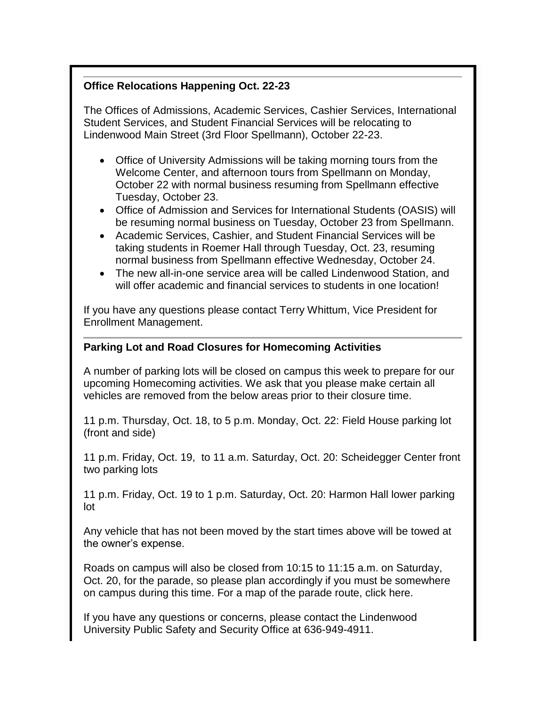# **Office Relocations Happening Oct. 22-23**

The Offices of Admissions, Academic Services, Cashier Services, International Student Services, and Student Financial Services will be relocating to Lindenwood Main Street (3rd Floor Spellmann), October 22-23.

- Office of University Admissions will be taking morning tours from the Welcome Center, and afternoon tours from Spellmann on Monday, October 22 with normal business resuming from Spellmann effective Tuesday, October 23.
- Office of Admission and Services for International Students (OASIS) will be resuming normal business on Tuesday, October 23 from Spellmann.
- Academic Services, Cashier, and Student Financial Services will be taking students in Roemer Hall through Tuesday, Oct. 23, resuming normal business from Spellmann effective Wednesday, October 24.
- The new all-in-one service area will be called Lindenwood Station, and will offer academic and financial services to students in one location!

If you have any questions please contact Terry Whittum, Vice President for Enrollment Management.

# **Parking Lot and Road Closures for Homecoming Activities**

A number of parking lots will be closed on campus this week to prepare for our upcoming Homecoming activities. We ask that you please make certain all vehicles are removed from the below areas prior to their closure time.

11 p.m. Thursday, Oct. 18, to 5 p.m. Monday, Oct. 22: Field House parking lot (front and side)

11 p.m. Friday, Oct. 19, to 11 a.m. Saturday, Oct. 20: Scheidegger Center front two parking lots

11 p.m. Friday, Oct. 19 to 1 p.m. Saturday, Oct. 20: Harmon Hall lower parking lot

Any vehicle that has not been moved by the start times above will be towed at the owner's expense.

Roads on campus will also be closed from 10:15 to 11:15 a.m. on Saturday, Oct. 20, for the parade, so please plan accordingly if you must be somewhere on campus during this time. For a map of the parade route, click here.

If you have any questions or concerns, please contact the Lindenwood University Public Safety and Security Office at 636-949-4911.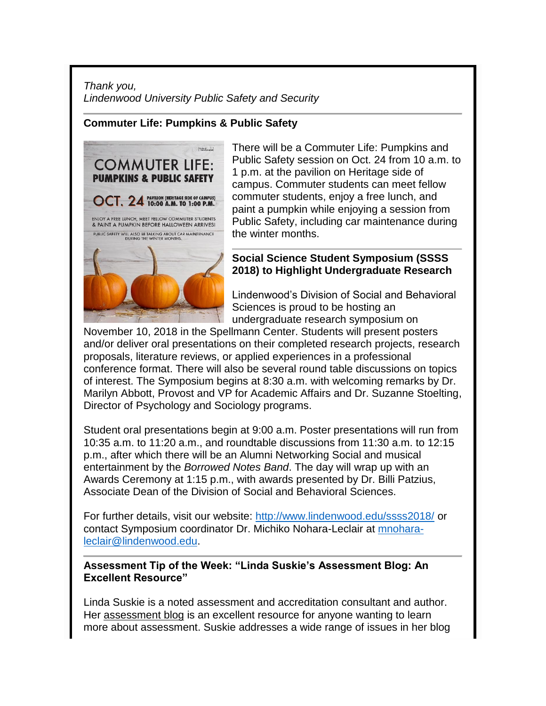# *Thank you, Lindenwood University Public Safety and Security*

# **Commuter Life: Pumpkins & Public Safety**



There will be a Commuter Life: Pumpkins and Public Safety session on Oct. 24 from 10 a.m. to 1 p.m. at the pavilion on Heritage side of campus. Commuter students can meet fellow commuter students, enjoy a free lunch, and paint a pumpkin while enjoying a session from Public Safety, including car maintenance during the winter months.

# **Social Science Student Symposium (SSSS 2018) to Highlight Undergraduate Research**

Lindenwood's Division of Social and Behavioral Sciences is proud to be hosting an undergraduate research symposium on

November 10, 2018 in the Spellmann Center. Students will present posters and/or deliver oral presentations on their completed research projects, research proposals, literature reviews, or applied experiences in a professional conference format. There will also be several round table discussions on topics of interest. The Symposium begins at 8:30 a.m. with welcoming remarks by Dr. Marilyn Abbott, Provost and VP for Academic Affairs and Dr. Suzanne Stoelting, Director of Psychology and Sociology programs.

Student oral presentations begin at 9:00 a.m. Poster presentations will run from 10:35 a.m. to 11:20 a.m., and roundtable discussions from 11:30 a.m. to 12:15 p.m., after which there will be an Alumni Networking Social and musical entertainment by the *Borrowed Notes Band*. The day will wrap up with an Awards Ceremony at 1:15 p.m., with awards presented by Dr. Billi Patzius, Associate Dean of the Division of Social and Behavioral Sciences.

For further details, visit our website:<http://www.lindenwood.edu/ssss2018/> or contact Symposium coordinator Dr. Michiko Nohara-Leclair at [mnohara](mailto:mnohara-leclair@lindenwood.edu)[leclair@lindenwood.edu.](mailto:mnohara-leclair@lindenwood.edu)

# **Assessment Tip of the Week: "Linda Suskie's Assessment Blog: An Excellent Resource"**

Linda Suskie is a noted assessment and accreditation consultant and author. Her [assessment blog](https://www.lindasuskie.com/apps/blog/) is an excellent resource for anyone wanting to learn more about assessment. Suskie addresses a wide range of issues in her blog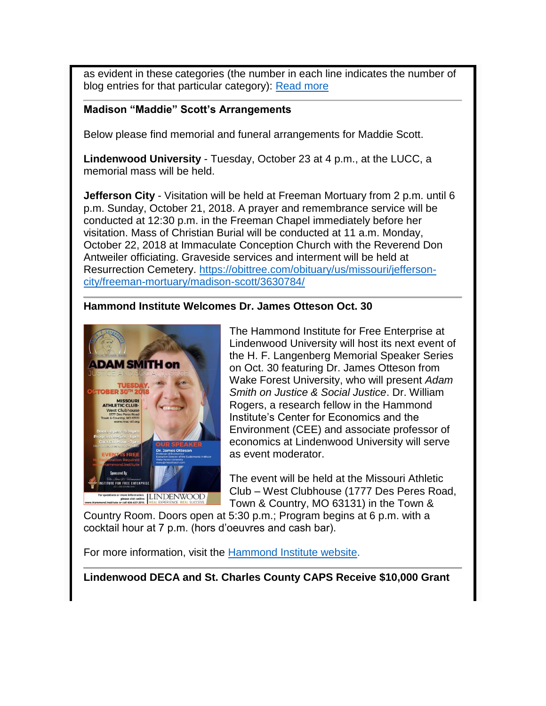as evident in these categories (the number in each line indicates the number of blog entries for that particular category): [Read more](http://felix.lindenwood.edu/newsletter/2018_10/tip_1019.pdf)

#### **Madison "Maddie" Scott's Arrangements**

Below please find memorial and funeral arrangements for Maddie Scott.

**Lindenwood University** - Tuesday, October 23 at 4 p.m., at the LUCC, a memorial mass will be held.

**Jefferson City** - Visitation will be held at Freeman Mortuary from 2 p.m. until 6 p.m. Sunday, October 21, 2018. A prayer and remembrance service will be conducted at 12:30 p.m. in the Freeman Chapel immediately before her visitation. Mass of Christian Burial will be conducted at 11 a.m. Monday, October 22, 2018 at Immaculate Conception Church with the Reverend Don Antweiler officiating. Graveside services and interment will be held at Resurrection Cemetery. [https://obittree.com/obituary/us/missouri/jefferson](https://obittree.com/obituary/us/missouri/jefferson-city/freeman-mortuary/madison-scott/3630784/)[city/freeman-mortuary/madison-scott/3630784/](https://obittree.com/obituary/us/missouri/jefferson-city/freeman-mortuary/madison-scott/3630784/)

# **Hammond Institute Welcomes Dr. James Otteson Oct. 30**



The Hammond Institute for Free Enterprise at Lindenwood University will host its next event of the H. F. Langenberg Memorial Speaker Series on Oct. 30 featuring Dr. James Otteson from Wake Forest University, who will present *Adam Smith on Justice & Social Justice*. Dr. William Rogers, a research fellow in the Hammond Institute's Center for Economics and the Environment (CEE) and associate professor of economics at Lindenwood University will serve as event moderator.

The event will be held at the Missouri Athletic Club – West Clubhouse (1777 Des Peres Road, Town & Country, MO 63131) in the Town &

Country Room. Doors open at 5:30 p.m.; Program begins at 6 p.m. with a cocktail hour at 7 p.m. (hors d'oeuvres and cash bar).

For more information, visit the [Hammond Institute website.](https://www.hammondinstitute.org/langenberg-speaker-series-fall-2018)

**Lindenwood DECA and St. Charles County CAPS Receive \$10,000 Grant**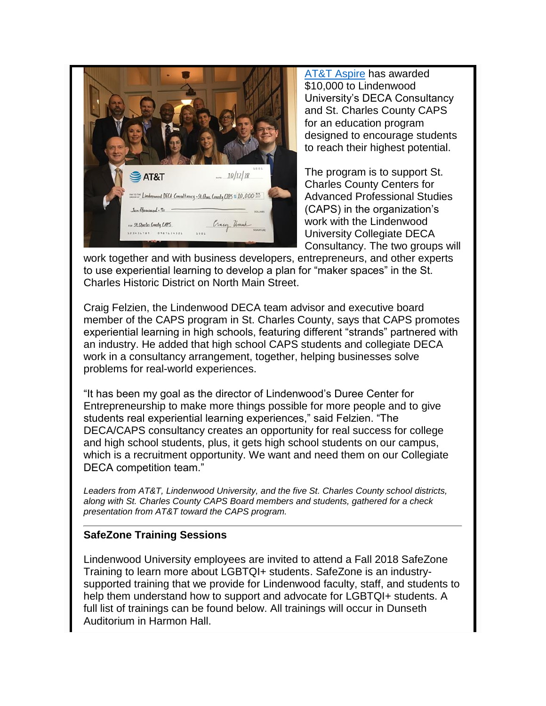

[AT&T Aspire](https://about.att.com/content/csr/home/possibilities/at-t-aspire.html) has awarded \$10,000 to Lindenwood University's DECA Consultancy and St. Charles County CAPS for an education program designed to encourage students to reach their highest potential.

The program is to support St. Charles County Centers for Advanced Professional Studies (CAPS) in the organization's work with the Lindenwood University Collegiate DECA Consultancy. The two groups will

work together and with business developers, entrepreneurs, and other experts to use experiential learning to develop a plan for "maker spaces" in the St. Charles Historic District on North Main Street.

Craig Felzien, the Lindenwood DECA team advisor and executive board member of the CAPS program in St. Charles County, says that CAPS promotes experiential learning in high schools, featuring different "strands" partnered with an industry. He added that high school CAPS students and collegiate DECA work in a consultancy arrangement, together, helping businesses solve problems for real-world experiences.

"It has been my goal as the director of Lindenwood's Duree Center for Entrepreneurship to make more things possible for more people and to give students real experiential learning experiences," said Felzien. "The DECA/CAPS consultancy creates an opportunity for real success for college and high school students, plus, it gets high school students on our campus, which is a recruitment opportunity. We want and need them on our Collegiate DECA competition team."

*Leaders from AT&T, Lindenwood University, and the five St. Charles County school districts, along with St. Charles County CAPS Board members and students, gathered for a check presentation from AT&T toward the CAPS program.* 

#### **SafeZone Training Sessions**

Lindenwood University employees are invited to attend a Fall 2018 SafeZone Training to learn more about LGBTQI+ students. SafeZone is an industrysupported training that we provide for Lindenwood faculty, staff, and students to help them understand how to support and advocate for LGBTQI+ students. A full list of trainings can be found below. All trainings will occur in Dunseth Auditorium in Harmon Hall.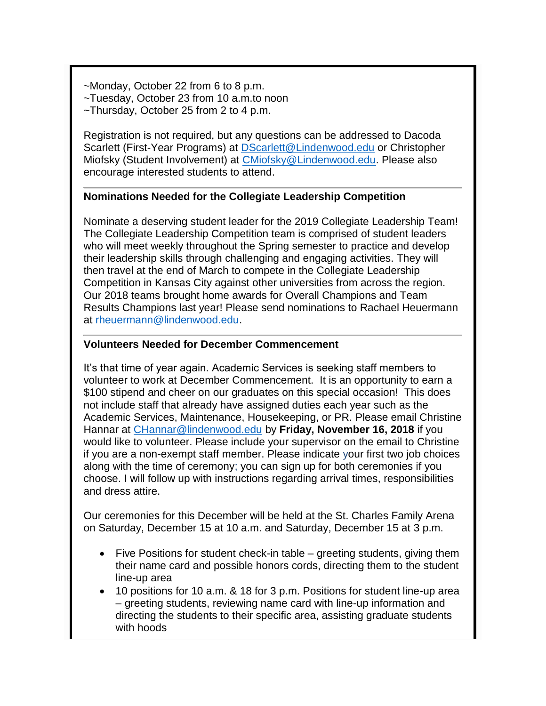- ~Monday, October 22 from 6 to 8 p.m. ~Tuesday, October 23 from 10 a.m.to noon
- ~Thursday, October 25 from 2 to 4 p.m.

Registration is not required, but any questions can be addressed to Dacoda Scarlett (First-Year Programs) at [DScarlett@Lindenwood.edu](mailto:DScarlett@Lindenwood.edu) or Christopher Miofsky (Student Involvement) at [CMiofsky@Lindenwood.edu.](mailto:CMiofsky@Lindenwood.edu) Please also encourage interested students to attend.

# **Nominations Needed for the Collegiate Leadership Competition**

Nominate a deserving student leader for the 2019 Collegiate Leadership Team! The Collegiate Leadership Competition team is comprised of student leaders who will meet weekly throughout the Spring semester to practice and develop their leadership skills through challenging and engaging activities. They will then travel at the end of March to compete in the Collegiate Leadership Competition in Kansas City against other universities from across the region. Our 2018 teams brought home awards for Overall Champions and Team Results Champions last year! Please send nominations to Rachael Heuermann at [rheuermann@lindenwood.edu.](mailto:rheuermann@lindenwood.edu)

# **Volunteers Needed for December Commencement**

It's that time of year again. Academic Services is seeking staff members to volunteer to work at December Commencement. It is an opportunity to earn a \$100 stipend and cheer on our graduates on this special occasion! This does not include staff that already have assigned duties each year such as the Academic Services, Maintenance, Housekeeping, or PR. Please email Christine Hannar at [CHannar@lindenwood.edu](mailto:CHannar@lindenwood.edu) by **Friday, November 16, 2018** if you would like to volunteer. Please include your supervisor on the email to Christine if you are a non-exempt staff member. Please indicate your first two job choices along with the time of ceremony; you can sign up for both ceremonies if you choose. I will follow up with instructions regarding arrival times, responsibilities and dress attire.

Our ceremonies for this December will be held at the St. Charles Family Arena on Saturday, December 15 at 10 a.m. and Saturday, December 15 at 3 p.m.

- Five Positions for student check-in table greeting students, giving them their name card and possible honors cords, directing them to the student line-up area
- 10 positions for 10 a.m. & 18 for 3 p.m. Positions for student line-up area – greeting students, reviewing name card with line-up information and directing the students to their specific area, assisting graduate students with hoods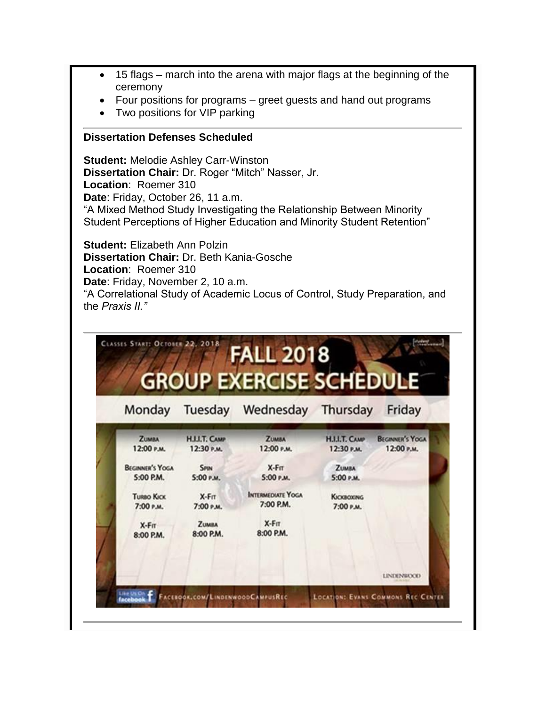- 15 flags march into the arena with major flags at the beginning of the ceremony
- Four positions for programs greet guests and hand out programs
- Two positions for VIP parking

#### **Dissertation Defenses Scheduled**

**Student:** Melodie Ashley Carr-Winston **Dissertation Chair:** Dr. Roger "Mitch" Nasser, Jr. **Location**: Roemer 310 **Date**: Friday, October 26, 11 a.m. "A Mixed Method Study Investigating the Relationship Between Minority Student Perceptions of Higher Education and Minority Student Retention"

**Student:** Elizabeth Ann Polzin **Dissertation Chair:** Dr. Beth Kania-Gosche **Location**: Roemer 310 **Date**: Friday, November 2, 10 a.m. "A Correlational Study of Academic Locus of Control, Study Preparation, and the *Praxis II."*

| Monday                     |                                    | Tuesday Wednesday Thursday |                                    | Friday                               |
|----------------------------|------------------------------------|----------------------------|------------------------------------|--------------------------------------|
| <b>ZUMBA</b><br>12:00 Р.М. | <b>H.I.I.T. CAMP</b><br>12:30 P.M. | <b>ZUMMA</b><br>12:00 Р.М. | <b>H.I.I.T. CAMP</b><br>12:30 P.M. | <b>BEGINNER'S YOGA</b><br>12:00 P.M. |
| <b>BEGINNER'S YOGA</b>     | <b>SPIN</b>                        | $X-F$ $T$                  | <b>ZUMBA</b>                       |                                      |
| 5:00 P.M.                  | 5:00 Р.М.                          | 5:00 P.M.                  | 5:00 P.M.                          |                                      |
| <b>TURBO KICK</b>          | $X-FIT$                            | <b>INTERMEDIATE YOGA</b>   | <b>KICKBOXING</b>                  |                                      |
| 7:00 Р.М.                  | 7:00 Р.М.                          | 7:00 P.M.                  | 7:00 Р.М.                          |                                      |
| $X-F\pi$                   | <b>ZUMBA</b>                       | $X-F\pi$<br>8:00 P.M.      |                                    |                                      |
| 8:00 P.M.                  | 8:00 P.M.                          |                            |                                    |                                      |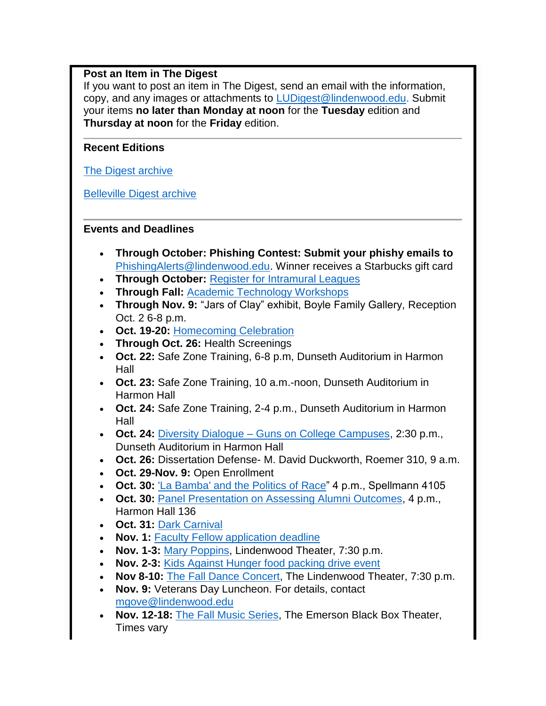# **Post an Item in The Digest**

If you want to post an item in The Digest, send an email with the information, copy, and any images or attachments to [LUDigest@lindenwood.edu.](mailto:LUDigest@lindenwood.edu) Submit your items **no later than Monday at noon** for the **Tuesday** edition and **Thursday at noon** for the **Friday** edition.

# **Recent Editions**

**[The Digest archive](http://www.lindenwood.edu/about/digest-archives/)** 

[Belleville Digest archive](http://www.lindenwood.edu/belleville/about/lindenwood-belleville-digest-archives/)

# **Events and Deadlines**

- **Through October: Phishing Contest: Submit your phishy emails to**  [PhishingAlerts@lindenwood.edu.](mailto:PhishingAlerts@lindenwood.edu) Winner receives a Starbucks gift card
- **Through October:** [Register for Intramural Leagues](http://www.imleagues.com/lindenwood)
- **Through Fall:** [Academic Technology Workshops](http://felix.lindenwood.edu/newsletter/2018_08/fallstaffcatalog.pdf)
- **Through Nov. 9:** "Jars of Clay" exhibit, Boyle Family Gallery, Reception Oct. 2 6-8 p.m.
- **Oct. 19-20:** [Homecoming Celebration](http://www.lindenwood.edu/homecoming)
- **Through Oct. 26:** Health Screenings
- **Oct. 22:** Safe Zone Training, 6-8 p.m, Dunseth Auditorium in Harmon Hall
- **Oct. 23:** Safe Zone Training, 10 a.m.-noon, Dunseth Auditorium in Harmon Hall
- **Oct. 24:** Safe Zone Training, 2-4 p.m., Dunseth Auditorium in Harmon Hall
- **Oct. 24:** Diversity Dialogue [Guns on College Campuses,](http://felix.lindenwood.edu/newsletter/2018_10/gunsoncampus.pdf) 2:30 p.m., Dunseth Auditorium in Harmon Hall
- **Oct. 26:** Dissertation Defense- M. David Duckworth, Roemer 310, 9 a.m.
- **Oct. 29-Nov. 9:** Open Enrollment
- **Oct. 30:** ['La Bamba' and the Politics of Race"](http://felix.lindenwood.edu/newsletter/2018_10/cohen.pdf) 4 p.m., Spellmann 4105
- **Oct. 30:** [Panel Presentation on Assessing Alumni Outcomes,](https://lindenwood.libguides.com/ld.php?content_id=44646833) 4 p.m., Harmon Hall 136
- **Oct. 31:** [Dark Carnival](http://www.lindenwood.edu/dark-carnival/)
- **Nov. 1: [Faculty Fellow application deadline](http://www.lindenwood.edu/human-resources/lindenwood-learning-academy/fellows/)**
- **Nov. 1-3:** [Mary Poppins,](http://felix.lindenwood.edu/newsletter/2018_10/poppins.png) Lindenwood Theater, 7:30 p.m.
- **Nov. 2-3:** [Kids Against Hunger food packing drive event](http://felix.lindenwood.edu/newsletter/2018_09/kidsagainsthunger.pdf)
- **Nov 8-10:** [The Fall Dance Concert,](http://felix.lindenwood.edu/newsletter/2018_10/dance.jpg) The Lindenwood Theater, 7:30 p.m.
- **Nov. 9:** Veterans Day Luncheon. For details, contact [mgove@lindenwood.edu](mailto:mgove@lindenwood.edu)
- **Nov. 12-18:** [The Fall Music Series,](http://felix.lindenwood.edu/newsletter/2018_10/music.png) The Emerson Black Box Theater, Times vary